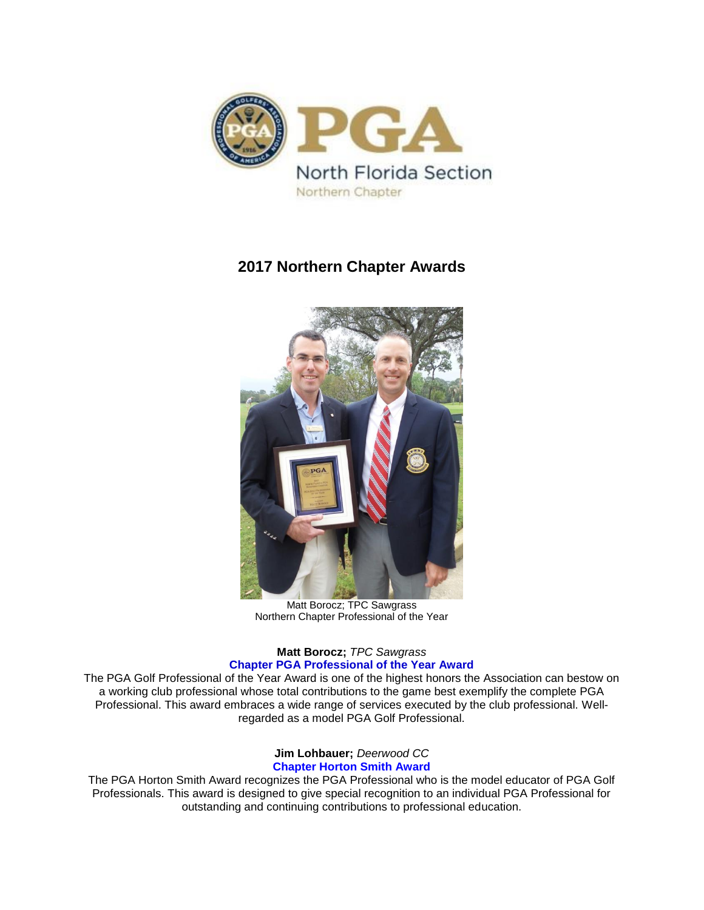

# **2017 Northern Chapter Awards**



Matt Borocz; TPC Sawgrass Northern Chapter Professional of the Year

# **Matt Borocz;** *TPC Sawgrass* **Chapter PGA Professional of the Year Award**

The PGA Golf Professional of the Year Award is one of the highest honors the Association can bestow on a working club professional whose total contributions to the game best exemplify the complete PGA Professional. This award embraces a wide range of services executed by the club professional. Wellregarded as a model PGA Golf Professional.

## **Jim Lohbauer;** *Deerwood CC* **Chapter Horton Smith Award**

The PGA Horton Smith Award recognizes the PGA Professional who is the model educator of PGA Golf Professionals. This award is designed to give special recognition to an individual PGA Professional for outstanding and continuing contributions to professional education.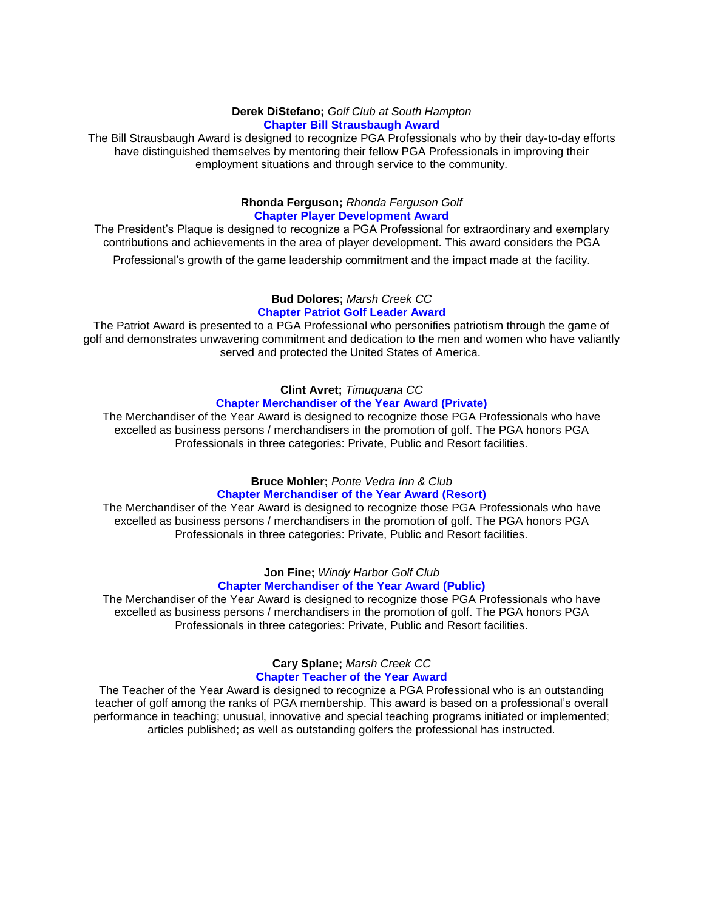#### **Derek DiStefano;** *Golf Club at South Hampton* **Chapter Bill Strausbaugh Award**

The Bill Strausbaugh Award is designed to recognize PGA Professionals who by their day-to-day efforts have distinguished themselves by mentoring their fellow PGA Professionals in improving their employment situations and through service to the community.

## **Rhonda Ferguson;** *Rhonda Ferguson Golf* **Chapter Player Development Award**

The President's Plaque is designed to recognize a PGA Professional for extraordinary and exemplary contributions and achievements in the area of player development. This award considers the PGA

Professional's growth of the game leadership commitment and the impact made at the facility.

#### **Bud Dolores;** *Marsh Creek CC* **Chapter Patriot Golf Leader Award**

The Patriot Award is presented to a PGA Professional who personifies patriotism through the game of golf and demonstrates unwavering commitment and dedication to the men and women who have valiantly served and protected the United States of America.

# **Clint Avret;** *Timuquana CC* **Chapter Merchandiser of the Year Award (Private)**

The Merchandiser of the Year Award is designed to recognize those PGA Professionals who have excelled as business persons / merchandisers in the promotion of golf. The PGA honors PGA Professionals in three categories: Private, Public and Resort facilities.

## **Bruce Mohler;** *Ponte Vedra Inn & Club* **Chapter Merchandiser of the Year Award (Resort)**

The Merchandiser of the Year Award is designed to recognize those PGA Professionals who have excelled as business persons / merchandisers in the promotion of golf. The PGA honors PGA Professionals in three categories: Private, Public and Resort facilities.

## **Jon Fine;** *Windy Harbor Golf Club* **Chapter Merchandiser of the Year Award (Public)**

The Merchandiser of the Year Award is designed to recognize those PGA Professionals who have excelled as business persons / merchandisers in the promotion of golf. The PGA honors PGA Professionals in three categories: Private, Public and Resort facilities.

# **Cary Splane;** *Marsh Creek CC* **Chapter Teacher of the Year Award**

The Teacher of the Year Award is designed to recognize a PGA Professional who is an outstanding teacher of golf among the ranks of PGA membership. This award is based on a professional's overall performance in teaching; unusual, innovative and special teaching programs initiated or implemented; articles published; as well as outstanding golfers the professional has instructed.